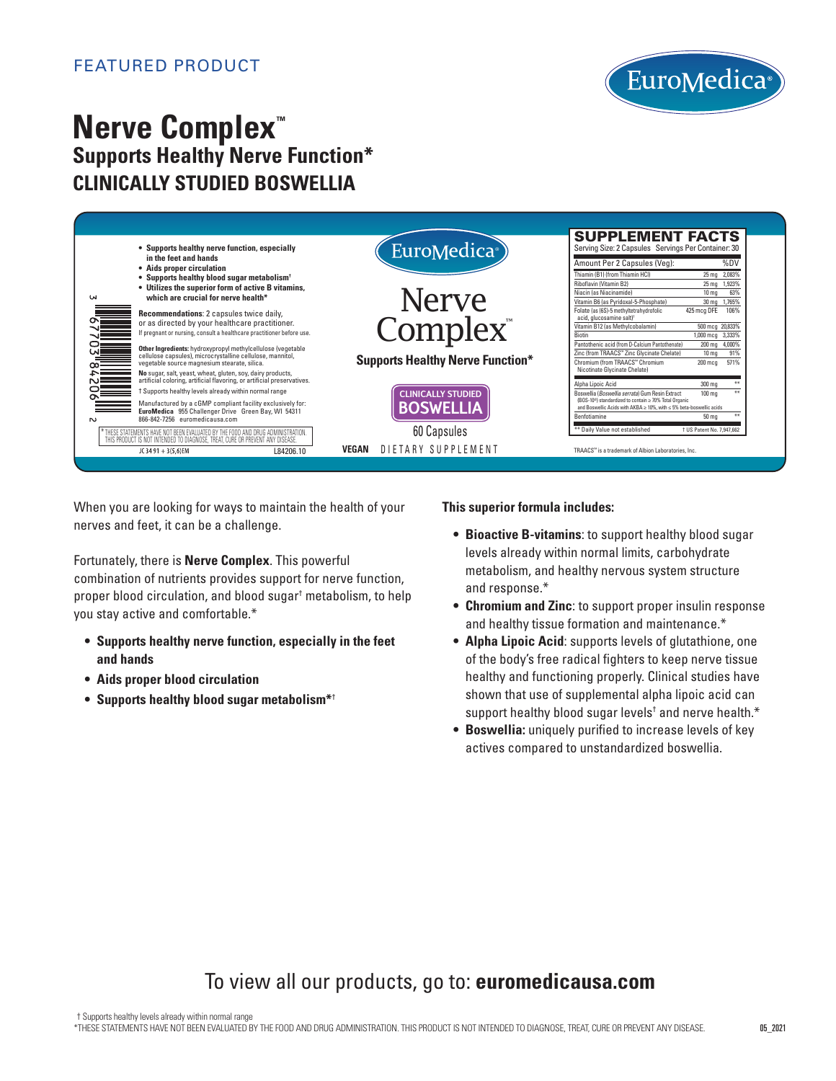

# **Nerve Complex™ Supports Healthy Nerve Function\* CLINICALLY STUDIED BOSWELLIA**

| • Supports healthy nerve function, especially                                                              | EuroMedica <sup>®</sup>                 | <b>SUPPLEMENT FACTS</b><br>Serving Size: 2 Capsules Servings Per Container: 30                                                              |
|------------------------------------------------------------------------------------------------------------|-----------------------------------------|---------------------------------------------------------------------------------------------------------------------------------------------|
| in the feet and hands<br>• Aids proper circulation                                                         |                                         | %DV<br>Amount Per 2 Capsules (Veg):                                                                                                         |
| • Supports healthy blood sugar metabolism <sup>†</sup>                                                     |                                         | Thiamin (B1) (from Thiamin HCI)<br>25 mg 2,083%<br>Riboflavin (Vitamin B2)<br>25 mg 1,923%                                                  |
| • Utilizes the superior form of active B vitamins,                                                         |                                         | Niacin (as Niacinamide)<br>63%<br>10 <sub>ma</sub>                                                                                          |
| which are crucial for nerve health*<br><b>LN</b>                                                           | <b>Nerve</b>                            | 30 mg 1,765%<br>Vitamin B6 (as Pyridoxal-5-Phosphate)                                                                                       |
| Recommendations: 2 capsules twice daily,                                                                   |                                         | 106%<br>Folate (as (6S)-5 methyltetrahydrofolic<br>425 mcg DFE<br>acid, glucosamine salt) <sup>1</sup>                                      |
| or as directed by your healthcare practitioner.                                                            | Complex <sup>®</sup>                    | Vitamin B12 (as Methylcobalamin)<br>500 mcg 20,833%                                                                                         |
| If pregnant or nursing, consult a healthcare practitioner before use.                                      |                                         | <b>Biotin</b><br>1,000 mcg 3,333%                                                                                                           |
| Other Ingredients: hydroxypropyl methylcellulose (vegetable                                                |                                         | Pantothenic acid (from D-Calcium Pantothenate)<br>4,000%<br>200 mg<br>Zinc (from TRAACS™ Zinc Glycinate Chelate)<br>91%<br>10 <sub>ma</sub> |
| cellulose capsules), microcrystalline cellulose, mannitol,<br>vegetable source magnesium stearate, silica. | <b>Supports Healthy Nerve Function*</b> | Chromium (from TRAACS™ Chromium<br>571%<br>$200 \text{ mca}$                                                                                |
| No sugar, salt, yeast, wheat, gluten, soy, dairy products,                                                 |                                         | Nicotinate Glycinate Chelate)                                                                                                               |
| artificial coloring, artificial flavoring, or artificial preservatives.                                    |                                         | Alpha Lipoic Acid<br>300 mg<br>$+1$                                                                                                         |
| t Supports healthy levels already within normal range                                                      | <b>CLINICALLY STUDIED</b>               | Boswellia (Boswellia serrata) Gum Resin Extract<br>$+1$<br>100 mg                                                                           |
| Manufactured by a cGMP compliant facility exclusively for:                                                 | <b>BOSWELLIA</b>                        | (BOS-10 <sup>®</sup> ) standardized to contain ≥ 70% Total Organic<br>and Boswellic Acids with AKBA ≥ 10%, with ≤ 5% beta-boswellic acids   |
| EuroMedica 955 Challenger Drive Green Bay, WI 54311<br>866-842-7256 euromedicausa.com<br>N                 |                                         | Benfotiamine<br>50 mg                                                                                                                       |
| * THESE STATEMENTS HAVE NOT BEEN EVALUATED BY THE FOOD AND DRUG ADMINISTRATION.                            | 60 Capsules                             | ** Daily Value not established<br>† US Patent No. 7.947.662                                                                                 |
| THIS PRODUCT IS NOT INTENDED TO DIAGNOSE, TREAT, CURE OR PREVENT ANY DISEASE.                              |                                         |                                                                                                                                             |
| JC 34 91 + 3(5.6)EM<br>L84206.10                                                                           | DIETARY SUPPLEMENT<br>VEGAN             | TRAACS™ is a trademark of Albion Laboratories. Inc.                                                                                         |

When you are looking for ways to maintain the health of your nerves and feet, it can be a challenge.

Fortunately, there is **Nerve Complex**. This powerful combination of nutrients provides support for nerve function, proper blood circulation, and blood sugar† metabolism, to help you stay active and comfortable.\*

- **Supports healthy nerve function, especially in the feet and hands**
- **• Aids proper blood circulation**
- **• Supports healthy blood sugar metabolism\***†

**This superior formula includes:**

- **Bioactive B-vitamins**: to support healthy blood sugar levels already within normal limits, carbohydrate metabolism, and healthy nervous system structure and response.\*
- **Chromium and Zinc**: to support proper insulin response and healthy tissue formation and maintenance.\*
- **Alpha Lipoic Acid**: supports levels of glutathione, one of the body's free radical fighters to keep nerve tissue healthy and functioning properly. Clinical studies have shown that use of supplemental alpha lipoic acid can support healthy blood sugar levels<sup>t</sup> and nerve health.\*
- **Boswellia:** uniquely purified to increase levels of key actives compared to unstandardized boswellia.

# To view all our products, go to: **euromedicausa.com**